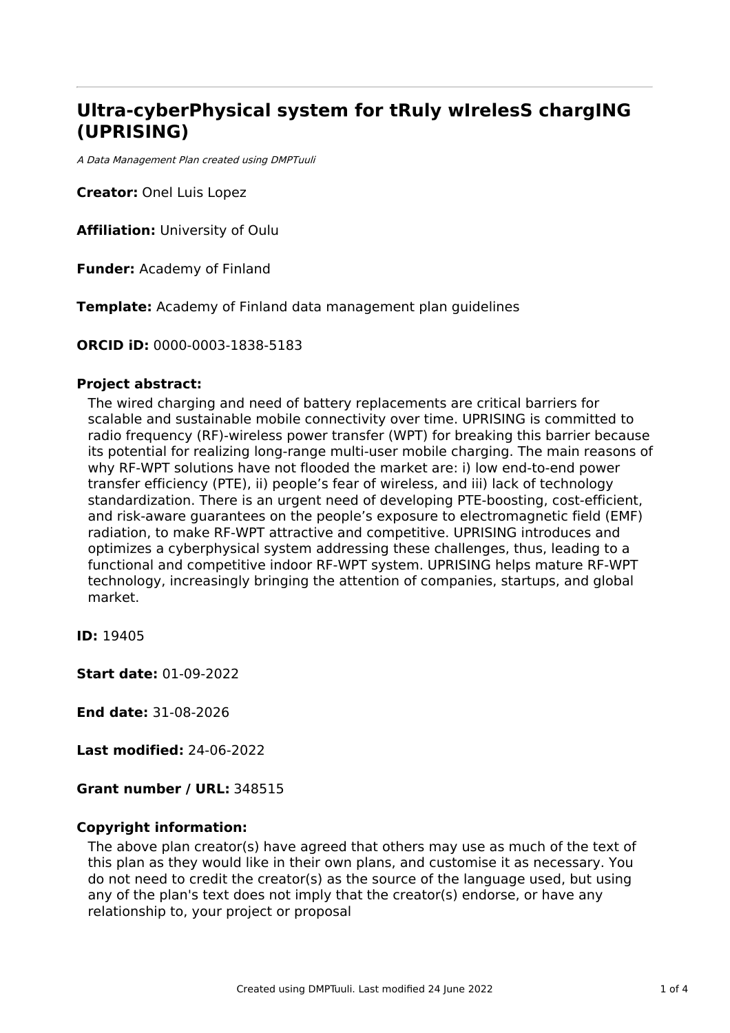# **Ultra-cyberPhysical system for tRuly wIrelesS chargING (UPRISING)**

A Data Management Plan created using DMPTuuli

**Creator:** Onel Luis Lopez

**Affiliation:** University of Oulu

**Funder:** Academy of Finland

**Template:** Academy of Finland data management plan guidelines

**ORCID iD:** 0000-0003-1838-5183

### **Project abstract:**

The wired charging and need of battery replacements are critical barriers for scalable and sustainable mobile connectivity over time. UPRISING is committed to radio frequency (RF)-wireless power transfer (WPT) for breaking this barrier because its potential for realizing long-range multi-user mobile charging. The main reasons of why RF-WPT solutions have not flooded the market are: i) low end-to-end power transfer efficiency (PTE), ii) people's fear of wireless, and iii) lack of technology standardization. There is an urgent need of developing PTE-boosting, cost-efficient, and risk-aware guarantees on the people's exposure to electromagnetic field (EMF) radiation, to make RF-WPT attractive and competitive. UPRISING introduces and optimizes a cyberphysical system addressing these challenges, thus, leading to a functional and competitive indoor RF-WPT system. UPRISING helps mature RF-WPT technology, increasingly bringing the attention of companies, startups, and global market.

**ID:** 19405

**Start date:** 01-09-2022

**End date:** 31-08-2026

**Last modified:** 24-06-2022

**Grant number / URL:** 348515

# **Copyright information:**

The above plan creator(s) have agreed that others may use as much of the text of this plan as they would like in their own plans, and customise it as necessary. You do not need to credit the creator(s) as the source of the language used, but using any of the plan's text does not imply that the creator(s) endorse, or have any relationship to, your project or proposal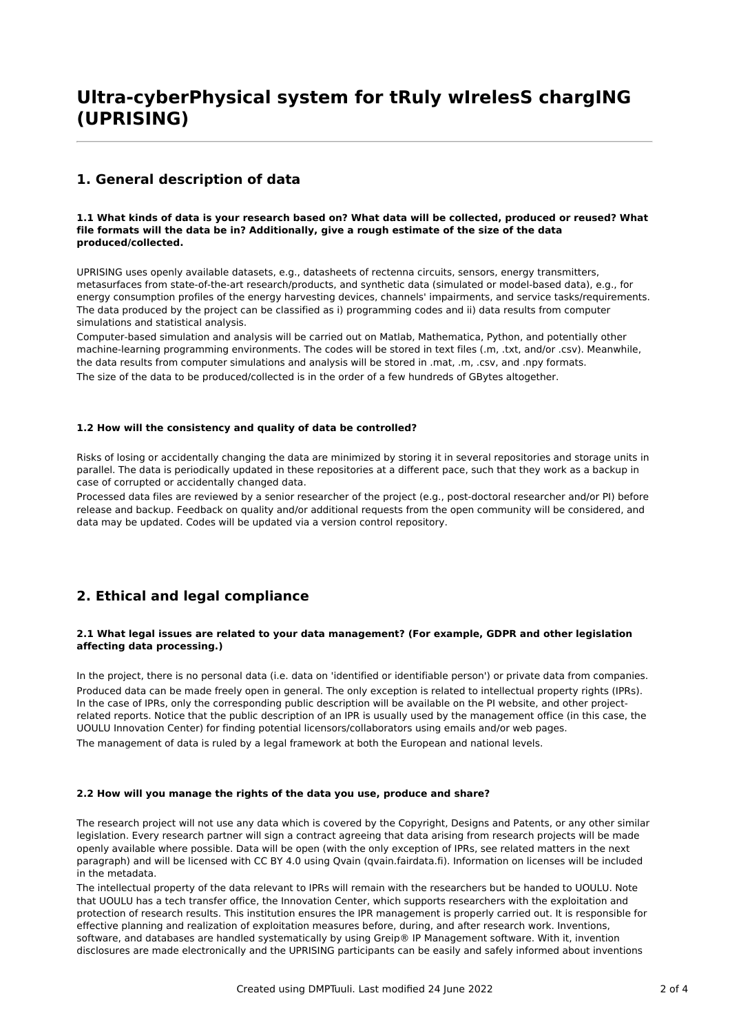# **Ultra-cyberPhysical system for tRuly wIrelesS chargING (UPRISING)**

# **1. General description of data**

#### 1.1 What kinds of data is your research based on? What data will be collected, produced or reused? What **file formats will the data be in? Additionally, give a rough estimate of the size of the data produced/collected.**

UPRISING uses openly available datasets, e.g., datasheets of rectenna circuits, sensors, energy transmitters, metasurfaces from state-of-the-art research/products, and synthetic data (simulated or model-based data), e.g., for energy consumption profiles of the energy harvesting devices, channels' impairments, and service tasks/requirements. The data produced by the project can be classified as i) programming codes and ii) data results from computer simulations and statistical analysis.

Computer-based simulation and analysis will be carried out on Matlab, Mathematica, Python, and potentially other machine-learning programming environments. The codes will be stored in text files (.m, .txt, and/or .csv). Meanwhile, the data results from computer simulations and analysis will be stored in .mat, .m, .csv, and .npy formats. The size of the data to be produced/collected is in the order of a few hundreds of GBytes altogether.

#### **1.2 How will the consistency and quality of data be controlled?**

Risks of losing or accidentally changing the data are minimized by storing it in several repositories and storage units in parallel. The data is periodically updated in these repositories at a different pace, such that they work as a backup in case of corrupted or accidentally changed data.

Processed data files are reviewed by a senior researcher of the project (e.g., post-doctoral researcher and/or PI) before release and backup. Feedback on quality and/or additional requests from the open community will be considered, and data may be updated. Codes will be updated via a version control repository.

# **2. Ethical and legal compliance**

#### **2.1 What legal issues are related to your data management? (For example, GDPR and other legislation affecting data processing.)**

In the project, there is no personal data (i.e. data on 'identified or identifiable person') or private data from companies. Produced data can be made freely open in general. The only exception is related to intellectual property rights (IPRs). In the case of IPRs, only the corresponding public description will be available on the PI website, and other projectrelated reports. Notice that the public description of an IPR is usually used by the management office (in this case, the UOULU Innovation Center) for finding potential licensors/collaborators using emails and/or web pages. The management of data is ruled by a legal framework at both the European and national levels.

#### **2.2 How will you manage the rights of the data you use, produce and share?**

The research project will not use any data which is covered by the Copyright, Designs and Patents, or any other similar legislation. Every research partner will sign a contract agreeing that data arising from research projects will be made openly available where possible. Data will be open (with the only exception of IPRs, see related matters in the next paragraph) and will be licensed with CC BY 4.0 using Qvain (qvain.fairdata.fi). Information on licenses will be included in the metadata.

The intellectual property of the data relevant to IPRs will remain with the researchers but be handed to UOULU. Note that UOULU has a tech transfer office, the Innovation Center, which supports researchers with the exploitation and protection of research results. This institution ensures the IPR management is properly carried out. It is responsible for effective planning and realization of exploitation measures before, during, and after research work. Inventions, software, and databases are handled systematically by using Greip® IP Management software. With it, invention disclosures are made electronically and the UPRISING participants can be easily and safely informed about inventions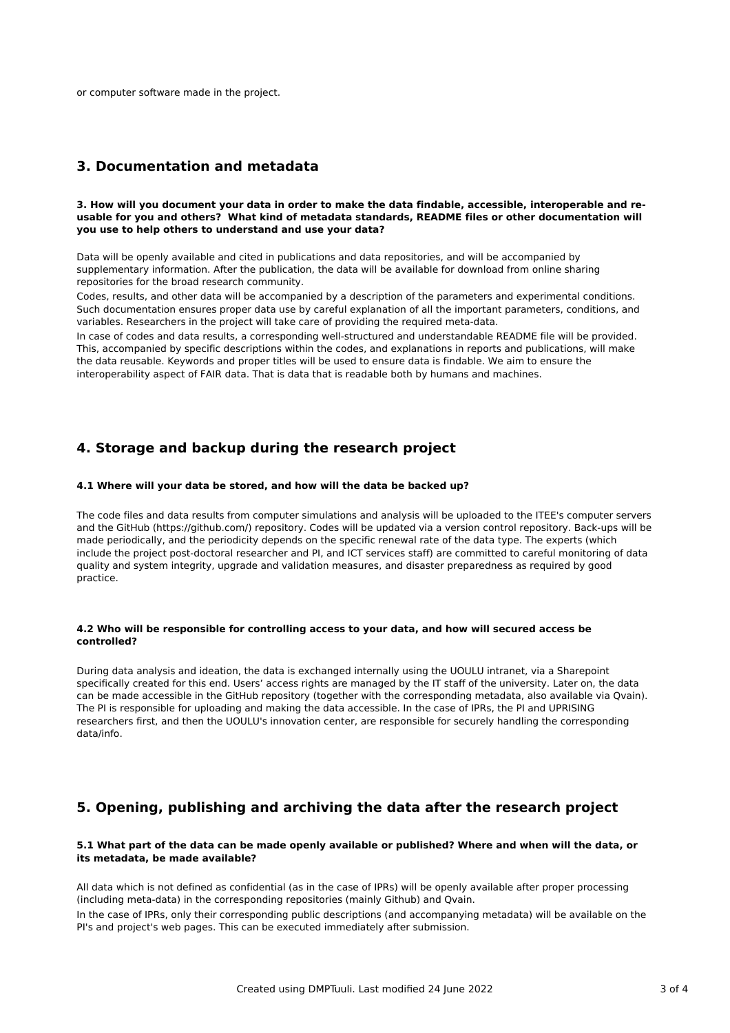or computer software made in the project.

### **3. Documentation and metadata**

#### 3. How will you document your data in order to make the data findable, accessible, interoperable and re**usable for you and others? What kind of metadata standards, README files or other documentation will you use to help others to understand and use your data?**

Data will be openly available and cited in publications and data repositories, and will be accompanied by supplementary information. After the publication, the data will be available for download from online sharing repositories for the broad research community.

Codes, results, and other data will be accompanied by a description of the parameters and experimental conditions. Such documentation ensures proper data use by careful explanation of all the important parameters, conditions, and variables. Researchers in the project will take care of providing the required meta-data.

In case of codes and data results, a corresponding well-structured and understandable README file will be provided. This, accompanied by specific descriptions within the codes, and explanations in reports and publications, will make the data reusable. Keywords and proper titles will be used to ensure data is findable. We aim to ensure the interoperability aspect of FAIR data. That is data that is readable both by humans and machines.

# **4. Storage and backup during the research project**

#### **4.1 Where will your data be stored, and how will the data be backed up?**

The code files and data results from computer simulations and analysis will be uploaded to the ITEE's computer servers and the GitHub (https://github.com/) repository. Codes will be updated via a version control repository. Back-ups will be made periodically, and the periodicity depends on the specific renewal rate of the data type. The experts (which include the project post-doctoral researcher and PI, and ICT services staff) are committed to careful monitoring of data quality and system integrity, upgrade and validation measures, and disaster preparedness as required by good practice.

#### **4.2 Who will be responsible for controlling access to your data, and how will secured access be controlled?**

During data analysis and ideation, the data is exchanged internally using the UOULU intranet, via a Sharepoint specifically created for this end. Users' access rights are managed by the IT staff of the university. Later on, the data can be made accessible in the GitHub repository (together with the corresponding metadata, also available via Qvain). The PI is responsible for uploading and making the data accessible. In the case of IPRs, the PI and UPRISING researchers first, and then the UOULU's innovation center, are responsible for securely handling the corresponding data/info.

# **5. Opening, publishing and archiving the data after the research project**

#### 5.1 What part of the data can be made openly available or published? Where and when will the data, or **its metadata, be made available?**

All data which is not defined as confidential (as in the case of IPRs) will be openly available after proper processing (including meta-data) in the corresponding repositories (mainly Github) and Qvain.

In the case of IPRs, only their corresponding public descriptions (and accompanying metadata) will be available on the PI's and project's web pages. This can be executed immediately after submission.